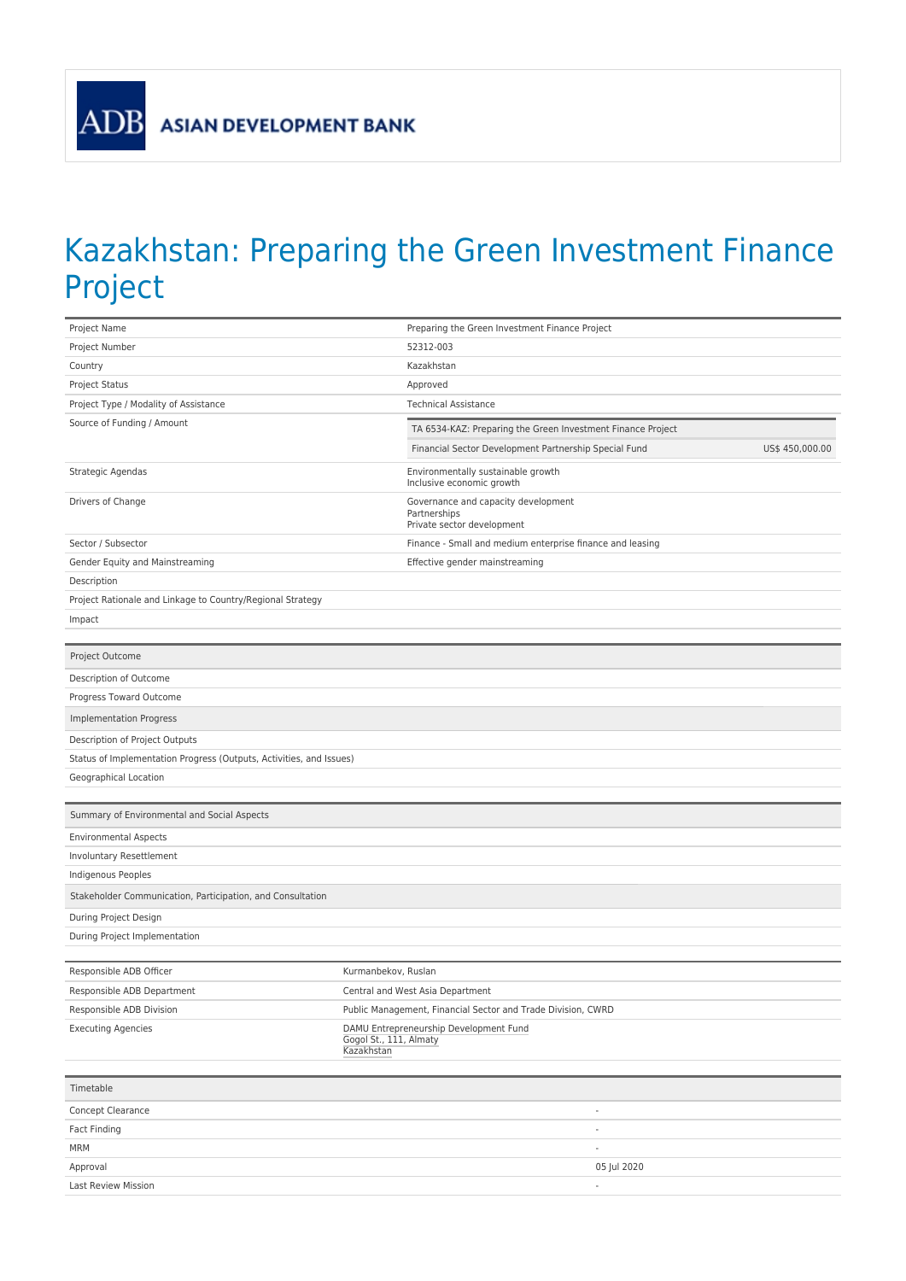

## Kazakhstan: Preparing the Green Investment Finance Project

| Project Name                                                        | Preparing the Green Investment Finance Project                                 |  |  |  |  |  |
|---------------------------------------------------------------------|--------------------------------------------------------------------------------|--|--|--|--|--|
| Project Number                                                      | 52312-003                                                                      |  |  |  |  |  |
| Country                                                             | Kazakhstan                                                                     |  |  |  |  |  |
| <b>Project Status</b>                                               | Approved                                                                       |  |  |  |  |  |
| Project Type / Modality of Assistance                               | <b>Technical Assistance</b>                                                    |  |  |  |  |  |
| Source of Funding / Amount                                          | TA 6534-KAZ: Preparing the Green Investment Finance Project                    |  |  |  |  |  |
|                                                                     | Financial Sector Development Partnership Special Fund<br>US\$ 450,000.00       |  |  |  |  |  |
| Strategic Agendas                                                   | Environmentally sustainable growth                                             |  |  |  |  |  |
|                                                                     | Inclusive economic growth                                                      |  |  |  |  |  |
| Drivers of Change                                                   | Governance and capacity development<br>Partnerships                            |  |  |  |  |  |
|                                                                     | Private sector development                                                     |  |  |  |  |  |
| Sector / Subsector                                                  | Finance - Small and medium enterprise finance and leasing                      |  |  |  |  |  |
| Gender Equity and Mainstreaming                                     | Effective gender mainstreaming                                                 |  |  |  |  |  |
| Description                                                         |                                                                                |  |  |  |  |  |
| Project Rationale and Linkage to Country/Regional Strategy          |                                                                                |  |  |  |  |  |
| Impact                                                              |                                                                                |  |  |  |  |  |
|                                                                     |                                                                                |  |  |  |  |  |
| Project Outcome                                                     |                                                                                |  |  |  |  |  |
| Description of Outcome                                              |                                                                                |  |  |  |  |  |
| Progress Toward Outcome                                             |                                                                                |  |  |  |  |  |
| <b>Implementation Progress</b>                                      |                                                                                |  |  |  |  |  |
| Description of Project Outputs                                      |                                                                                |  |  |  |  |  |
| Status of Implementation Progress (Outputs, Activities, and Issues) |                                                                                |  |  |  |  |  |
| Geographical Location                                               |                                                                                |  |  |  |  |  |
|                                                                     |                                                                                |  |  |  |  |  |
| Summary of Environmental and Social Aspects                         |                                                                                |  |  |  |  |  |
| <b>Environmental Aspects</b>                                        |                                                                                |  |  |  |  |  |
| Involuntary Resettlement                                            |                                                                                |  |  |  |  |  |
| Indigenous Peoples                                                  |                                                                                |  |  |  |  |  |
| Stakeholder Communication, Participation, and Consultation          |                                                                                |  |  |  |  |  |
| During Project Design                                               |                                                                                |  |  |  |  |  |
| During Project Implementation                                       |                                                                                |  |  |  |  |  |
|                                                                     |                                                                                |  |  |  |  |  |
| Responsible ADB Officer                                             | Kurmanbekov, Ruslan                                                            |  |  |  |  |  |
| Responsible ADB Department                                          | Central and West Asia Department                                               |  |  |  |  |  |
| Responsible ADB Division                                            | Public Management, Financial Sector and Trade Division, CWRD                   |  |  |  |  |  |
| <b>Executing Agencies</b>                                           | DAMU Entrepreneurship Development Fund<br>Gogol St., 111, Almaty<br>Kazakhstan |  |  |  |  |  |
|                                                                     |                                                                                |  |  |  |  |  |
| Timetable                                                           |                                                                                |  |  |  |  |  |
| Concept Clearance                                                   | $\overline{\phantom{a}}$                                                       |  |  |  |  |  |
| Fact Finding                                                        | $\overline{a}$                                                                 |  |  |  |  |  |
| MRM                                                                 | ÷                                                                              |  |  |  |  |  |
| Approval                                                            | 05 Jul 2020                                                                    |  |  |  |  |  |
| Last Review Mission                                                 | $\frac{1}{2}$                                                                  |  |  |  |  |  |